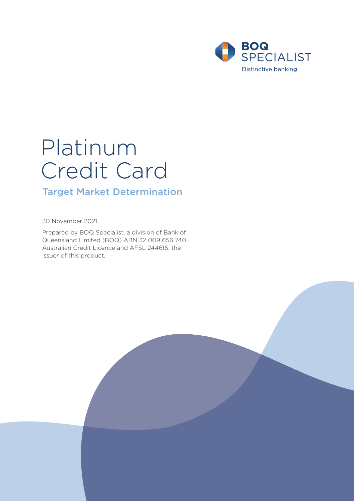

# Platinum Credit Card

# Target Market Determination

30 November 2021

Prepared by BOQ Specialist, a division of Bank of Queensland Limited (BOQ) ABN 32 009 656 740 Australian Credit Licence and AFSL 244616, the issuer of this product.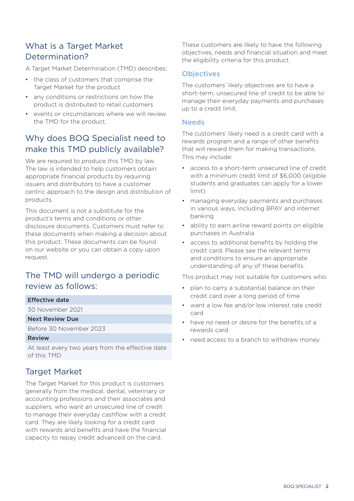## What is a Target Market Determination?

A Target Market Determination (TMD) describes:

- the class of customers that comprise the Target Market for the product
- any conditions or restrictions on how the product is distributed to retail customers
- events or circumstances where we will review the TMD for the product.

# Why does BOQ Specialist need to make this TMD publicly available?

We are required to produce this TMD by law. The law is intended to help customers obtain appropriate financial products by requiring issuers and distributors to have a customer centric approach to the design and distribution of products.

This document is not a substitute for the product's terms and conditions or other disclosure documents. Customers must refer to these documents when making a decision about this product. These documents can be found on our website or you can obtain a copy upon request.

# The TMD will undergo a periodic review as follows:

#### Effective date

30 November 2021

#### Next Review Due

Before 30 November 2023

#### Review

At least every two years from the effective date of this TMD

## Target Market

The Target Market for this product is customers generally from the medical, dental, veterinary or accounting professions and their associates and suppliers, who want an unsecured line of credit to manage their everyday cashflow with a credit card. They are likely looking for a credit card with rewards and benefits and have the financial capacity to repay credit advanced on the card.

These customers are likely to have the following objectives, needs and financial situation and meet the eligibility criteria for this product.

#### **Objectives**

The customers' likely objectives are to have a short-term, unsecured line of credit to be able to manage their everyday payments and purchases up to a credit limit.

#### **Needs**

The customers' likely need is a credit card with a rewards program and a range of other benefits that will reward them for making transactions. This may include:

- access to a short-term unsecured line of credit with a minimum credit limit of \$6,000 (eligible students and graduates can apply for a lower limit)
- managing everyday payments and purchases in various ways, including BPAY and internet banking
- ability to earn airline reward points on eligible purchases in Australia
- access to additional benefits by holding the credit card. Please see the relevant terms and conditions to ensure an appropriate understanding of any of these benefits.

This product may not suitable for customers who:

- plan to carry a substantial balance on their credit card over a long period of time
- want a low fee and/or low interest rate credit card
- have no need or desire for the benefits of a rewards card
- need access to a branch to withdraw money.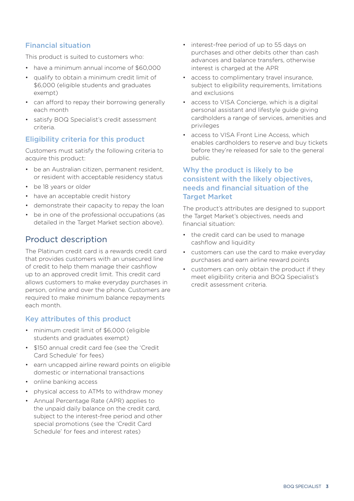## Financial situation

This product is suited to customers who:

- have a minimum annual income of \$60,000
- qualify to obtain a minimum credit limit of \$6,000 (eligible students and graduates exempt)
- can afford to repay their borrowing generally each month
- satisfy BOQ Specialist's credit assessment criteria.

## Eligibility criteria for this product

Customers must satisfy the following criteria to acquire this product:

- be an Australian citizen, permanent resident, or resident with acceptable residency status
- be 18 years or older
- have an acceptable credit history
- demonstrate their capacity to repay the loan
- be in one of the professional occupations (as detailed in the Target Market section above).

## Product description

The Platinum credit card is a rewards credit card that provides customers with an unsecured line of credit to help them manage their cashflow up to an approved credit limit. This credit card allows customers to make everyday purchases in person, online and over the phone. Customers are required to make minimum balance repayments each month.

## Key attributes of this product

- minimum credit limit of \$6,000 (eligible students and graduates exempt)
- \$150 annual credit card fee (see the 'Credit Card Schedule' for fees)
- earn uncapped airline reward points on eligible domestic or international transactions
- online banking access
- physical access to ATMs to withdraw money
- Annual Percentage Rate (APR) applies to the unpaid daily balance on the credit card, subject to the interest-free period and other special promotions (see the 'Credit Card Schedule' for fees and interest rates)
- interest-free period of up to 55 days on purchases and other debits other than cash advances and balance transfers, otherwise interest is charged at the APR
- access to complimentary travel insurance, subject to eligibility requirements, limitations and exclusions
- access to VISA Concierge, which is a digital personal assistant and lifestyle guide giving cardholders a range of services, amenities and privileges
- access to VISA Front Line Access, which enables cardholders to reserve and buy tickets before they're released for sale to the general public.

## Why the product is likely to be consistent with the likely objectives, needs and financial situation of the **Target Market**

The product's attributes are designed to support the Target Market's objectives, needs and financial situation:

- the credit card can be used to manage cashflow and liquidity
- customers can use the card to make everyday purchases and earn airline reward points
- customers can only obtain the product if they meet eligibility criteria and BOQ Specialist's credit assessment criteria.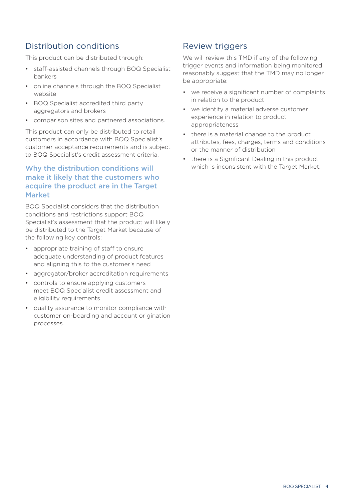# Distribution conditions

This product can be distributed through:

- staff-assisted channels through BOQ Specialist bankers
- online channels through the BOQ Specialist website
- BOQ Specialist accredited third party aggregators and brokers
- comparison sites and partnered associations.

This product can only be distributed to retail customers in accordance with BOQ Specialist's customer acceptance requirements and is subject to BOQ Specialist's credit assessment criteria.

#### Why the distribution conditions will make it likely that the customers who acquire the product are in the Target Market

BOQ Specialist considers that the distribution conditions and restrictions support BOQ Specialist's assessment that the product will likely be distributed to the Target Market because of the following key controls:

- appropriate training of staff to ensure adequate understanding of product features and aligning this to the customer's need
- aggregator/broker accreditation requirements
- controls to ensure applying customers meet BOQ Specialist credit assessment and eligibility requirements
- quality assurance to monitor compliance with customer on-boarding and account origination processes.

## Review triggers

We will review this TMD if any of the following trigger events and information being monitored reasonably suggest that the TMD may no longer be appropriate:

- we receive a significant number of complaints in relation to the product
- we identify a material adverse customer experience in relation to product appropriateness
- there is a material change to the product attributes, fees, charges, terms and conditions or the manner of distribution
- there is a Significant Dealing in this product which is inconsistent with the Target Market.